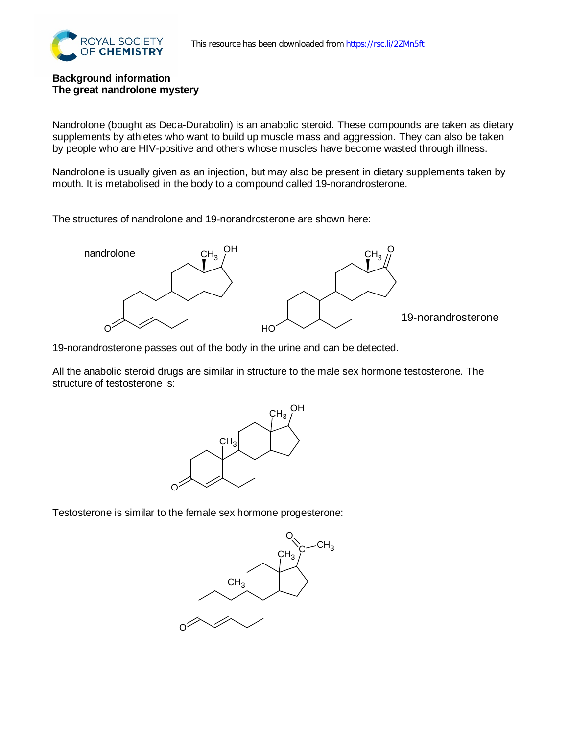

## **Background information The great nandrolone mystery**

Nandrolone (bought as Deca-Durabolin) is an anabolic steroid. These compounds are taken as dietary supplements by athletes who want to build up muscle mass and aggression. They can also be taken by people who are HIV-positive and others whose muscles have become wasted through illness.

Nandrolone is usually given as an injection, but may also be present in dietary supplements taken by mouth. It is metabolised in the body to a compound called 19-norandrosterone.

The structures of nandrolone and 19-norandrosterone are shown here:



19-norandrosterone passes out of the body in the urine and can be detected.

All the anabolic steroid drugs are similar in structure to the male sex hormone testosterone. The structure of testosterone is:



Testosterone is similar to the female sex hormone progesterone: